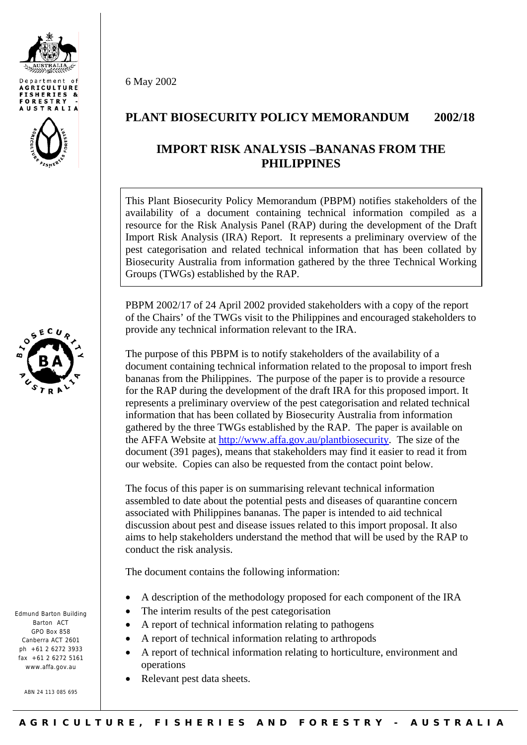





Edmund Barton Building Barton ACT GPO Box 858 Canberra ACT 2601  $nh +61$  2 6272 3933 fax  $+61$  2 6272 5161 www.affa.gov.au

ABN 24 113 085 695

6 May 2002

## **PLANT BIOSECURITY POLICY MEMORANDUM 2002/18**

## **IMPORT RISK ANALYSIS –BANANAS FROM THE PHILIPPINES**

This Plant Biosecurity Policy Memorandum (PBPM) notifies stakeholders of the availability of a document containing technical information compiled as a resource for the Risk Analysis Panel (RAP) during the development of the Draft Import Risk Analysis (IRA) Report. It represents a preliminary overview of the pest categorisation and related technical information that has been collated by Biosecurity Australia from information gathered by the three Technical Working Groups (TWGs) established by the RAP.

PBPM 2002/17 of 24 April 2002 provided stakeholders with a copy of the report of the Chairs' of the TWGs visit to the Philippines and encouraged stakeholders to provide any technical information relevant to the IRA.

The purpose of this PBPM is to notify stakeholders of the availability of a document containing technical information related to the proposal to import fresh bananas from the Philippines. The purpose of the paper is to provide a resource for the RAP during the development of the draft IRA for this proposed import. It represents a preliminary overview of the pest categorisation and related technical information that has been collated by Biosecurity Australia from information gathered by the three TWGs established by the RAP. The paper is available on the AFFA Website at<http://www.affa.gov.au/plantbiosecurity>. The size of the document (391 pages), means that stakeholders may find it easier to read it from our website. Copies can also be requested from the contact point below.

The focus of this paper is on summarising relevant technical information assembled to date about the potential pests and diseases of quarantine concern associated with Philippines bananas. The paper is intended to aid technical discussion about pest and disease issues related to this import proposal. It also aims to help stakeholders understand the method that will be used by the RAP to conduct the risk analysis.

The document contains the following information:

- A description of the methodology proposed for each component of the IRA
- The interim results of the pest categorisation
- A report of technical information relating to pathogens
- A report of technical information relating to arthropods
- A report of technical information relating to horticulture, environment and operations
- Relevant pest data sheets.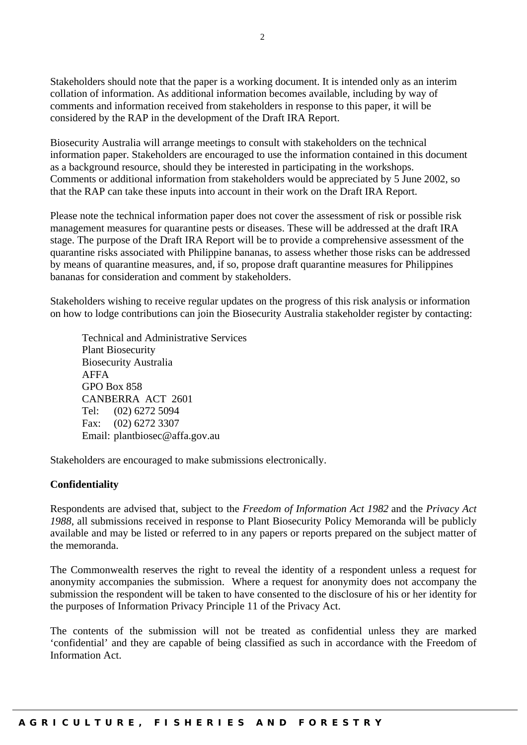Stakeholders should note that the paper is a working document. It is intended only as an interim collation of information. As additional information becomes available, including by way of comments and information received from stakeholders in response to this paper, it will be considered by the RAP in the development of the Draft IRA Report.

Biosecurity Australia will arrange meetings to consult with stakeholders on the technical information paper. Stakeholders are encouraged to use the information contained in this document as a background resource, should they be interested in participating in the workshops. Comments or additional information from stakeholders would be appreciated by 5 June 2002, so that the RAP can take these inputs into account in their work on the Draft IRA Report.

Please note the technical information paper does not cover the assessment of risk or possible risk management measures for quarantine pests or diseases. These will be addressed at the draft IRA stage. The purpose of the Draft IRA Report will be to provide a comprehensive assessment of the quarantine risks associated with Philippine bananas, to assess whether those risks can be addressed by means of quarantine measures, and, if so, propose draft quarantine measures for Philippines bananas for consideration and comment by stakeholders.

Stakeholders wishing to receive regular updates on the progress of this risk analysis or information on how to lodge contributions can join the Biosecurity Australia stakeholder register by contacting:

 Technical and Administrative Services Plant Biosecurity Biosecurity Australia AFFA GPO Box 858 CANBERRA ACT 2601 Tel: (02) 6272 5094 Fax: (02) 6272 3307 Email: plantbiosec@affa.gov.au

Stakeholders are encouraged to make submissions electronically.

## **Confidentiality**

Respondents are advised that, subject to the *Freedom of Information Act 1982* and the *Privacy Act 1988*, all submissions received in response to Plant Biosecurity Policy Memoranda will be publicly available and may be listed or referred to in any papers or reports prepared on the subject matter of the memoranda.

The Commonwealth reserves the right to reveal the identity of a respondent unless a request for anonymity accompanies the submission. Where a request for anonymity does not accompany the submission the respondent will be taken to have consented to the disclosure of his or her identity for the purposes of Information Privacy Principle 11 of the Privacy Act.

The contents of the submission will not be treated as confidential unless they are marked 'confidential' and they are capable of being classified as such in accordance with the Freedom of Information Act.